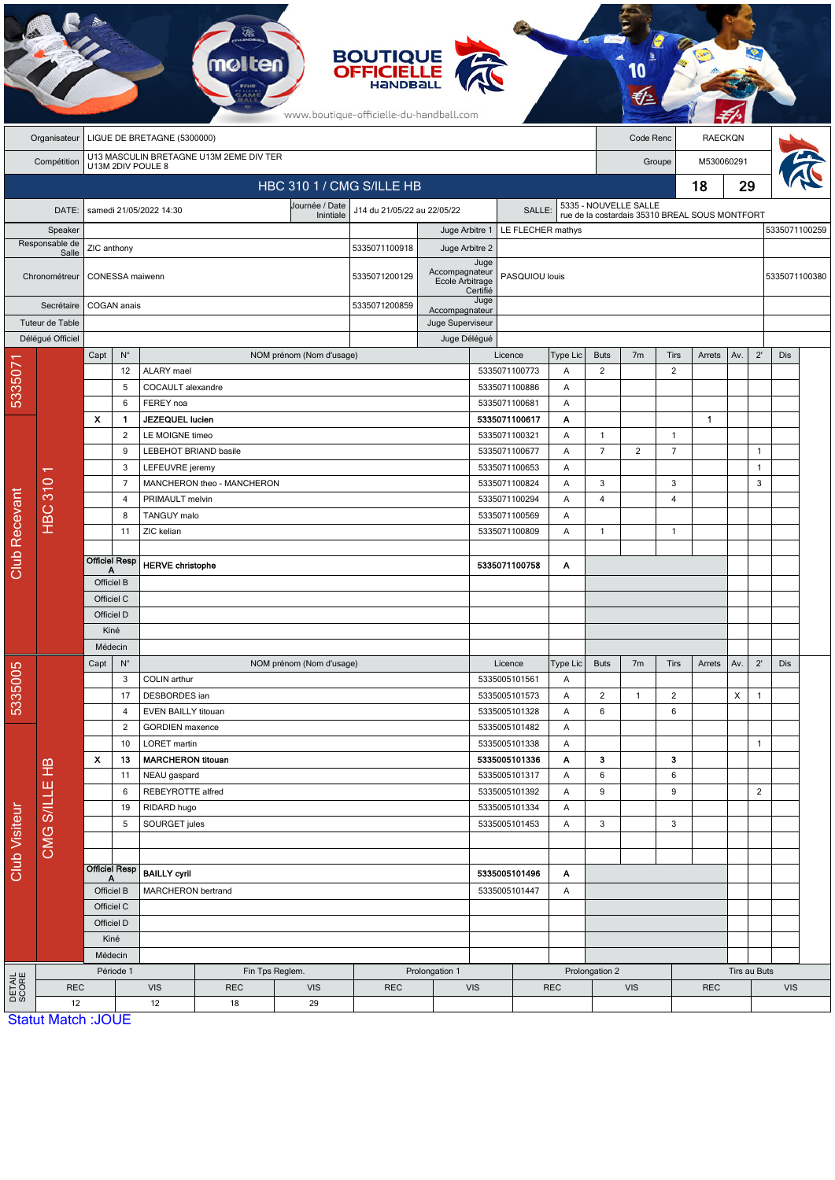|                                             |                                                                             |                                       |                                        |                                                                  |                                          | <b>BOUTIQUE</b><br><b>OFFICIELLE</b><br>www.boutique-officielle-du-handball.com |                    |                                     |                                          |               |                |                                                |                |                |     |                |               |  |
|---------------------------------------------|-----------------------------------------------------------------------------|---------------------------------------|----------------------------------------|------------------------------------------------------------------|------------------------------------------|---------------------------------------------------------------------------------|--------------------|-------------------------------------|------------------------------------------|---------------|----------------|------------------------------------------------|----------------|----------------|-----|----------------|---------------|--|
|                                             | LIGUE DE BRETAGNE (5300000)<br>Organisateur                                 |                                       |                                        |                                                                  |                                          |                                                                                 |                    |                                     |                                          |               |                | Code Renc                                      |                | <b>RAECKQN</b> |     |                |               |  |
|                                             | U13 MASCULIN BRETAGNE U13M 2EME DIV TER<br>Compétition<br>U13M 2DIV POULE 8 |                                       |                                        |                                                                  |                                          |                                                                                 |                    |                                     |                                          |               | Groupe         |                                                |                | M530060291     |     |                |               |  |
|                                             |                                                                             |                                       |                                        |                                                                  |                                          |                                                                                 |                    |                                     |                                          | 18            |                |                                                |                | 29             |     |                |               |  |
| HBC 310 1 / CMG S/ILLE HB<br>Journée / Date |                                                                             |                                       |                                        |                                                                  |                                          |                                                                                 |                    |                                     |                                          |               |                | 5335 - NOUVELLE SALLE                          |                |                |     |                |               |  |
| DATE:<br>samedi 21/05/2022 14:30            |                                                                             |                                       |                                        |                                                                  | J14 du 21/05/22 au 22/05/22<br>Inintiale |                                                                                 |                    |                                     | SALLE:                                   |               |                | rue de la costardais 35310 BREAL SOUS MONTFORT |                |                |     |                |               |  |
|                                             | Speaker<br>Responsable de                                                   | ZIC anthony                           |                                        |                                                                  |                                          | 5335071100918                                                                   | Juge Arbitre 1     |                                     | LE FLECHER mathys                        |               |                |                                                |                |                |     |                | 5335071100259 |  |
|                                             | Salle<br>Chronométreur                                                      |                                       | CONESSA maiwenn                        |                                                                  | 5335071200129                            | Juge Arbitre 2<br>Accompagnateur<br>Ecole Arbitrage                             | Juge<br>Certifié   | PASQUIOU louis                      |                                          |               |                |                                                |                |                |     | 5335071100380  |               |  |
|                                             | Secrétaire                                                                  |                                       | COGAN anais                            |                                                                  | 5335071200859                            |                                                                                 | Juge               |                                     |                                          |               |                |                                                |                |                |     |                |               |  |
|                                             | Tuteur de Table                                                             |                                       |                                        |                                                                  |                                          | Accompagnateur<br>Juge Superviseur                                              |                    |                                     |                                          |               |                |                                                |                |                |     |                |               |  |
|                                             | Délégué Officiel                                                            |                                       |                                        |                                                                  |                                          |                                                                                 | Juge Délégué       |                                     |                                          |               |                |                                                |                |                |     |                |               |  |
|                                             |                                                                             | Capt                                  | $\mathsf{N}^\circ$                     |                                                                  | NOM prénom (Nom d'usage)                 |                                                                                 |                    |                                     | Licence                                  | Type Lic      | <b>Buts</b>    | 7 <sub>m</sub>                                 | Tirs           | Arrets         | Av. | $2^{\prime}$   | <b>Dis</b>    |  |
| 533507                                      |                                                                             |                                       | 12                                     | <b>ALARY</b> mael                                                |                                          |                                                                                 |                    |                                     | 5335071100773                            | Α             | $\overline{2}$ |                                                | $\overline{2}$ |                |     |                |               |  |
|                                             |                                                                             |                                       | 5                                      | COCAULT alexandre<br>FEREY noa                                   |                                          |                                                                                 |                    |                                     | 5335071100886                            | Α             |                |                                                |                |                |     |                |               |  |
|                                             |                                                                             | $\boldsymbol{\mathsf{x}}$             | 6<br>1                                 | JEZEQUEL lucien                                                  |                                          |                                                                                 |                    |                                     | 5335071100681<br>5335071100617           | A<br>Α        |                |                                                |                | $\mathbf{1}$   |     |                |               |  |
|                                             |                                                                             |                                       | 2                                      | LE MOIGNE timeo                                                  |                                          |                                                                                 |                    |                                     | 5335071100321                            | Α             | $\mathbf{1}$   |                                                | $\overline{1}$ |                |     |                |               |  |
|                                             |                                                                             |                                       | 9<br>LEBEHOT BRIAND basile             |                                                                  |                                          |                                                                                 | 5335071100677      | Α                                   | $\overline{7}$                           | 2             | $\overline{7}$ |                                                |                | $\mathbf{1}$   |     |                |               |  |
|                                             |                                                                             | 3<br>$\overline{7}$<br>4              |                                        | LEFEUVRE jeremy<br>MANCHERON theo - MANCHERON<br>PRIMAULT melvin |                                          |                                                                                 |                    | 5335071100653                       |                                          | Α             |                |                                                |                |                |     | $\mathbf{1}$   |               |  |
|                                             |                                                                             |                                       |                                        |                                                                  |                                          |                                                                                 |                    |                                     | 5335071100824<br>Α<br>5335071100294<br>A |               | 3              |                                                | 3              |                |     | 3              |               |  |
|                                             | <b>HBC 310</b>                                                              |                                       |                                        |                                                                  |                                          |                                                                                 |                    |                                     |                                          |               | 4              |                                                | 4              |                |     |                |               |  |
|                                             |                                                                             |                                       | 8                                      | TANGUY malo                                                      |                                          |                                                                                 |                    |                                     | 5335071100569                            | Α             |                |                                                |                |                |     |                |               |  |
|                                             |                                                                             |                                       | 11                                     | ZIC kelian                                                       |                                          |                                                                                 |                    |                                     | 5335071100809                            | A             | $\mathbf{1}$   |                                                | $\mathbf{1}$   |                |     |                |               |  |
| <b>Club Recevant</b>                        |                                                                             | <b>Officiel Resp</b><br>Α             |                                        | <b>HERVE christophe</b>                                          |                                          |                                                                                 |                    |                                     | 5335071100758                            | Α             |                |                                                |                |                |     |                |               |  |
|                                             |                                                                             | Officiel B                            |                                        |                                                                  |                                          |                                                                                 |                    |                                     |                                          |               |                |                                                |                |                |     |                |               |  |
|                                             |                                                                             | Officiel C                            |                                        |                                                                  |                                          |                                                                                 |                    |                                     |                                          |               |                |                                                |                |                |     |                |               |  |
|                                             |                                                                             | Officiel D                            |                                        |                                                                  |                                          |                                                                                 |                    |                                     |                                          |               |                |                                                |                |                |     |                |               |  |
|                                             |                                                                             | Kiné                                  |                                        |                                                                  |                                          |                                                                                 |                    |                                     |                                          |               |                |                                                |                |                |     |                |               |  |
|                                             |                                                                             | Médecin<br>$\mathsf{N}^\circ$<br>Capt |                                        |                                                                  |                                          |                                                                                 |                    |                                     |                                          |               |                |                                                |                |                |     |                |               |  |
|                                             |                                                                             |                                       | 3                                      | COLIN arthur                                                     | NOM prénom (Nom d'usage)                 |                                                                                 |                    |                                     | Licence<br>5335005101561                 | Type Lic<br>Α | <b>Buts</b>    | 7m                                             | <b>Tirs</b>    | Arrets         | Av. | $2^{\prime}$   | Dis           |  |
| 5335005                                     | CMG S/ILLE HB                                                               |                                       | 17                                     | DESBORDES ian                                                    |                                          |                                                                                 |                    |                                     | 5335005101573                            | Α             | $\overline{2}$ | $\mathbf{1}$                                   | $\overline{2}$ |                | X   | $\mathbf{1}$   |               |  |
|                                             |                                                                             |                                       | $\overline{4}$                         | EVEN BAILLY titouan                                              |                                          |                                                                                 |                    |                                     | 5335005101328                            | Α             | 6              |                                                | 6              |                |     |                |               |  |
| <b>Club Visiteur</b>                        |                                                                             |                                       | $\overline{2}$                         | <b>GORDIEN</b> maxence                                           |                                          |                                                                                 |                    |                                     | 5335005101482                            | Α             |                |                                                |                |                |     |                |               |  |
|                                             |                                                                             |                                       | 10                                     | <b>LORET</b> martin                                              |                                          |                                                                                 |                    |                                     | 5335005101338                            | Α             |                |                                                |                |                |     | $\mathbf{1}$   |               |  |
|                                             |                                                                             | $\boldsymbol{\mathsf{x}}$<br>13       |                                        | <b>MARCHERON titouan</b>                                         |                                          |                                                                                 |                    |                                     | 5335005101336                            | Α             | 3              |                                                | 3              |                |     |                |               |  |
|                                             |                                                                             |                                       | 11<br>6                                | NEAU gaspard                                                     |                                          |                                                                                 |                    |                                     | 5335005101317                            | A<br>Α        | 6<br>9         |                                                | 6<br>9         |                |     | $\overline{2}$ |               |  |
|                                             |                                                                             |                                       | REBEYROTTE alfred<br>19<br>RIDARD hugo |                                                                  |                                          |                                                                                 |                    | 5335005101392<br>5335005101334<br>Α |                                          |               |                |                                                |                |                |     |                |               |  |
|                                             |                                                                             |                                       | 5                                      | SOURGET jules                                                    |                                          |                                                                                 |                    |                                     | 5335005101453                            | Α             | 3              |                                                | 3              |                |     |                |               |  |
|                                             |                                                                             |                                       |                                        |                                                                  |                                          |                                                                                 |                    |                                     |                                          |               |                |                                                |                |                |     |                |               |  |
|                                             |                                                                             | <b>Officiel Resp</b>                  |                                        | <b>BAILLY cyril</b>                                              |                                          |                                                                                 |                    | 5335005101496<br>Α                  |                                          |               |                |                                                |                |                |     |                |               |  |
|                                             |                                                                             | Officiel B                            |                                        | MARCHERON bertrand                                               |                                          |                                                                                 | 5335005101447<br>A |                                     |                                          |               |                |                                                |                |                |     |                |               |  |
|                                             |                                                                             | Officiel C                            |                                        |                                                                  |                                          |                                                                                 |                    |                                     |                                          |               |                |                                                |                |                |     |                |               |  |
|                                             |                                                                             |                                       | Officiel D<br>Kiné                     |                                                                  |                                          |                                                                                 |                    |                                     |                                          |               |                |                                                |                |                |     |                |               |  |
|                                             |                                                                             |                                       | Médecin                                |                                                                  |                                          |                                                                                 |                    |                                     |                                          |               |                |                                                |                |                |     |                |               |  |
|                                             |                                                                             |                                       |                                        |                                                                  |                                          | Prolongation 1                                                                  |                    |                                     |                                          |               |                |                                                | Tirs au Buts   |                |     |                |               |  |
|                                             |                                                                             |                                       | Période 1                              |                                                                  | Fin Tps Reglem.                          |                                                                                 |                    |                                     |                                          |               | Prolongation 2 |                                                |                |                |     |                |               |  |
| <b>DETAIL</b><br>SCORE                      | <b>REC</b><br>12                                                            |                                       |                                        | <b>VIS</b><br><b>REC</b><br>12<br>18                             | <b>VIS</b><br>29                         | <b>REC</b>                                                                      |                    | <b>VIS</b>                          |                                          | <b>REC</b>    |                | <b>VIS</b>                                     |                | <b>REC</b>     |     |                | <b>VIS</b>    |  |